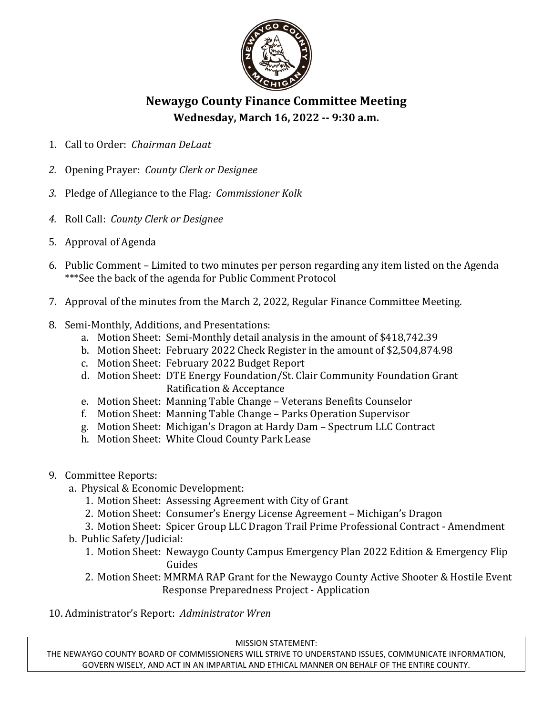

## **Newaygo County Finance Committee Meeting Wednesday, March 16, 2022 -- 9:30 a.m.**

- 1. Call to Order: *Chairman DeLaat*
- *2.* Opening Prayer: *County Clerk or Designee*
- *3.* Pledge of Allegiance to the Flag*: Commissioner Kolk*
- *4.* Roll Call: *County Clerk or Designee*
- 5. Approval of Agenda
- 6. Public Comment Limited to two minutes per person regarding any item listed on the Agenda \*\*\*See the back of the agenda for Public Comment Protocol
- 7. Approval of the minutes from the March 2, 2022, Regular Finance Committee Meeting.
- 8. Semi-Monthly, Additions, and Presentations:
	- a. Motion Sheet: Semi-Monthly detail analysis in the amount of \$418,742.39
	- b. Motion Sheet: February 2022 Check Register in the amount of \$2,504,874.98
	- c. Motion Sheet: February 2022 Budget Report
	- d. Motion Sheet: DTE Energy Foundation/St. Clair Community Foundation Grant Ratification & Acceptance
	- e. Motion Sheet: Manning Table Change Veterans Benefits Counselor
	- f. Motion Sheet: Manning Table Change Parks Operation Supervisor
	- g. Motion Sheet: Michigan's Dragon at Hardy Dam Spectrum LLC Contract
	- h. Motion Sheet: White Cloud County Park Lease
- 9. Committee Reports:
	- a. Physical & Economic Development:
		- 1. Motion Sheet: Assessing Agreement with City of Grant
		- 2. Motion Sheet: Consumer's Energy License Agreement Michigan's Dragon
	- 3. Motion Sheet: Spicer Group LLC Dragon Trail Prime Professional Contract Amendment b. Public Safety/Judicial:
		- 1. Motion Sheet: Newaygo County Campus Emergency Plan 2022 Edition & Emergency Flip Guides
		- 2. Motion Sheet: MMRMA RAP Grant for the Newaygo County Active Shooter & Hostile Event Response Preparedness Project - Application

10. Administrator's Report: *Administrator Wren*

MISSION STATEMENT:

THE NEWAYGO COUNTY BOARD OF COMMISSIONERS WILL STRIVE TO UNDERSTAND ISSUES, COMMUNICATE INFORMATION, GOVERN WISELY, AND ACT IN AN IMPARTIAL AND ETHICAL MANNER ON BEHALF OF THE ENTIRE COUNTY.